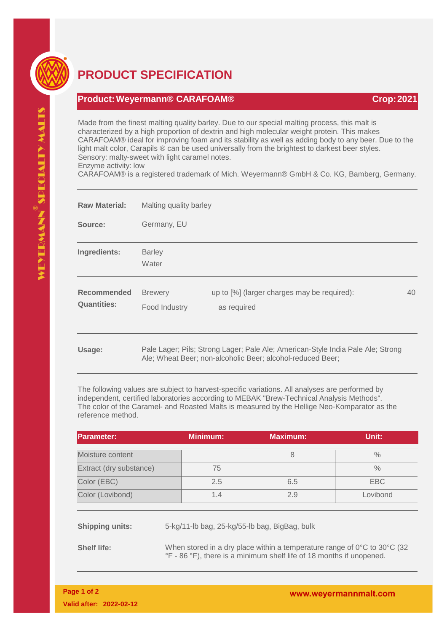

## **PRODUCT SPECIFICATION**

## **Product:Weyermann® CARAFOAM® Crop:2021**

Made from the finest malting quality barley. Due to our special malting process, this malt is characterized by a high proportion of dextrin and high molecular weight protein. This makes CARAFOAM® ideal for improving foam and its stability as well as adding body to any beer. Due to the light malt color, Carapils ® can be used universally from the brightest to darkest beer styles. Sensory: malty-sweet with light caramel notes. Enzyme activity: low

CARAFOAM® is a registered trademark of Mich. Weyermann® GmbH & Co. KG, Bamberg, Germany.

| <b>Raw Material:</b>                     | Malting quality barley          |                                                                                                                                               |    |  |
|------------------------------------------|---------------------------------|-----------------------------------------------------------------------------------------------------------------------------------------------|----|--|
| Source:                                  | Germany, EU                     |                                                                                                                                               |    |  |
| Ingredients:                             | <b>Barley</b><br>Water          |                                                                                                                                               |    |  |
| <b>Recommended</b><br><b>Quantities:</b> | <b>Brewery</b><br>Food Industry | up to [%] (larger charges may be required):<br>as required                                                                                    | 40 |  |
| Usage:                                   |                                 | Pale Lager; Pils; Strong Lager; Pale Ale; American-Style India Pale Ale; Strong<br>Ale; Wheat Beer; non-alcoholic Beer; alcohol-reduced Beer; |    |  |

The following values are subject to harvest-specific variations. All analyses are performed by independent, certified laboratories according to MEBAK "Brew-Technical Analysis Methods". The color of the Caramel- and Roasted Malts is measured by the Hellige Neo-Komparator as the reference method.

| <b>Parameter:</b>       |                                                                                      | <b>Minimum:</b> | <b>Maximum:</b> | Unit:         |
|-------------------------|--------------------------------------------------------------------------------------|-----------------|-----------------|---------------|
| Moisture content        |                                                                                      |                 | 8               | $\frac{0}{0}$ |
| Extract (dry substance) |                                                                                      | 75              |                 | $\frac{0}{0}$ |
| Color (EBC)             |                                                                                      | 2.5             | 6.5             | <b>EBC</b>    |
| Color (Lovibond)        |                                                                                      | 1.4             | 2.9             | Lovibond      |
|                         |                                                                                      |                 |                 |               |
| <b>Shipping units:</b>  | 5-kg/11-lb bag, 25-kg/55-lb bag, BigBag, bulk                                        |                 |                 |               |
| ChallIBa.               | When stared in a druplace within a temperature repay of $0^\circ$ to $20^\circ$ (22) |                 |                 |               |

**Shelf life:** When stored in a dry place within a temperature range of 0°C to 30°C (32) °F - 86 °F), there is a minimum shelf life of 18 months if unopened.

VEYERMANN SPECIALIY MALIS